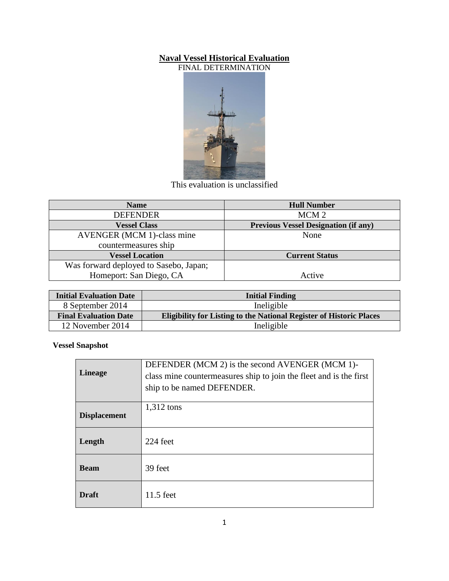## **Naval Vessel Historical Evaluation**

FINAL DETERMINATION



This evaluation is unclassified

| <b>Name</b>                            | <b>Hull Number</b>                          |
|----------------------------------------|---------------------------------------------|
| <b>DEFENDER</b>                        | MCM <sub>2</sub>                            |
| <b>Vessel Class</b>                    | <b>Previous Vessel Designation (if any)</b> |
| <b>AVENGER</b> (MCM 1)-class mine      | None                                        |
| countermeasures ship                   |                                             |
| <b>Vessel Location</b>                 | <b>Current Status</b>                       |
| Was forward deployed to Sasebo, Japan; |                                             |
| Homeport: San Diego, CA                | Active                                      |

| <b>Initial Evaluation Date</b> | <b>Initial Finding</b>                                                     |
|--------------------------------|----------------------------------------------------------------------------|
| 8 September 2014               | Ineligible                                                                 |
| <b>Final Evaluation Date</b>   | <b>Eligibility for Listing to the National Register of Historic Places</b> |
| 12 November 2014               | Ineligible                                                                 |

**Vessel Snapshot**

| <b>Lineage</b>      | DEFENDER (MCM 2) is the second AVENGER (MCM 1)-<br>class mine countermeasures ship to join the fleet and is the first<br>ship to be named DEFENDER. |
|---------------------|-----------------------------------------------------------------------------------------------------------------------------------------------------|
| <b>Displacement</b> | 1,312 tons                                                                                                                                          |
| Length              | 224 feet                                                                                                                                            |
| <b>Beam</b>         | 39 feet                                                                                                                                             |
| <b>Draft</b>        | $11.5$ feet                                                                                                                                         |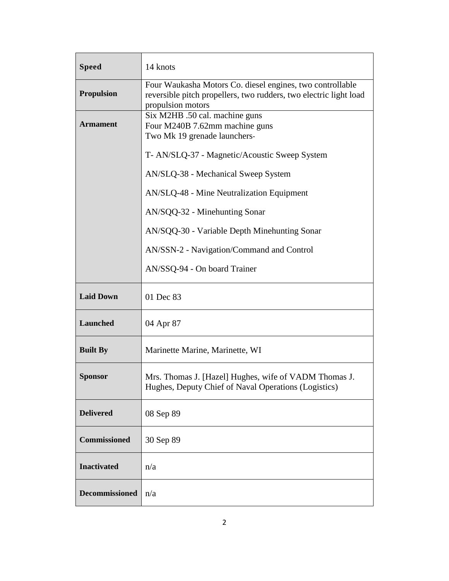| <b>Speed</b>        | 14 knots                                                                                                                                                                                                                                                                                                                                                                                            |
|---------------------|-----------------------------------------------------------------------------------------------------------------------------------------------------------------------------------------------------------------------------------------------------------------------------------------------------------------------------------------------------------------------------------------------------|
| <b>Propulsion</b>   | Four Waukasha Motors Co. diesel engines, two controllable<br>reversible pitch propellers, two rudders, two electric light load<br>propulsion motors                                                                                                                                                                                                                                                 |
| <b>Armament</b>     | Six M2HB .50 cal. machine guns<br>Four M240B 7.62mm machine guns<br>Two Mk 19 grenade launchers-<br>T- AN/SLQ-37 - Magnetic/Acoustic Sweep System<br>AN/SLQ-38 - Mechanical Sweep System<br>AN/SLQ-48 - Mine Neutralization Equipment<br>AN/SQQ-32 - Minehunting Sonar<br>AN/SQQ-30 - Variable Depth Minehunting Sonar<br>AN/SSN-2 - Navigation/Command and Control<br>AN/SSQ-94 - On board Trainer |
|                     |                                                                                                                                                                                                                                                                                                                                                                                                     |
| <b>Laid Down</b>    | 01 Dec 83                                                                                                                                                                                                                                                                                                                                                                                           |
| <b>Launched</b>     | 04 Apr 87                                                                                                                                                                                                                                                                                                                                                                                           |
| <b>Built By</b>     | Marinette Marine, Marinette, WI                                                                                                                                                                                                                                                                                                                                                                     |
| <b>Sponsor</b>      | Mrs. Thomas J. [Hazel] Hughes, wife of VADM Thomas J.<br>Hughes, Deputy Chief of Naval Operations (Logistics)                                                                                                                                                                                                                                                                                       |
| <b>Delivered</b>    | 08 Sep 89                                                                                                                                                                                                                                                                                                                                                                                           |
| <b>Commissioned</b> | 30 Sep 89                                                                                                                                                                                                                                                                                                                                                                                           |
| <b>Inactivated</b>  | n/a                                                                                                                                                                                                                                                                                                                                                                                                 |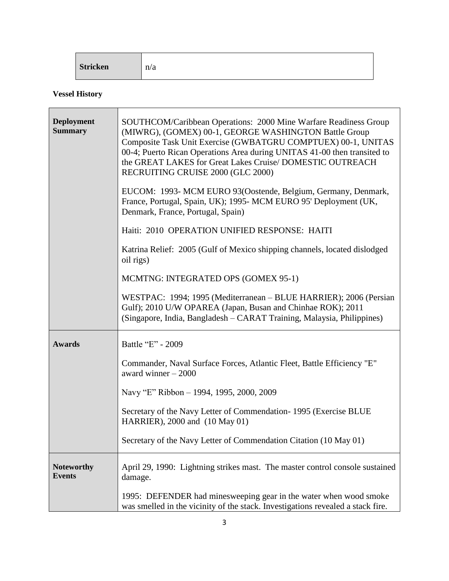| <b>Stricken</b> | n/a |
|-----------------|-----|
|-----------------|-----|

## **Vessel History**

| <b>Deployment</b><br><b>Summary</b> | SOUTHCOM/Caribbean Operations: 2000 Mine Warfare Readiness Group<br>(MIWRG), (GOMEX) 00-1, GEORGE WASHINGTON Battle Group<br>Composite Task Unit Exercise (GWBATGRU COMPTUEX) 00-1, UNITAS<br>00-4; Puerto Rican Operations Area during UNITAS 41-00 then transited to<br>the GREAT LAKES for Great Lakes Cruise/ DOMESTIC OUTREACH<br>RECRUITING CRUISE 2000 (GLC 2000)<br>EUCOM: 1993- MCM EURO 93(Oostende, Belgium, Germany, Denmark,<br>France, Portugal, Spain, UK); 1995- MCM EURO 95' Deployment (UK,<br>Denmark, France, Portugal, Spain)<br>Haiti: 2010 OPERATION UNIFIED RESPONSE: HAITI<br>Katrina Relief: 2005 (Gulf of Mexico shipping channels, located dislodged |
|-------------------------------------|----------------------------------------------------------------------------------------------------------------------------------------------------------------------------------------------------------------------------------------------------------------------------------------------------------------------------------------------------------------------------------------------------------------------------------------------------------------------------------------------------------------------------------------------------------------------------------------------------------------------------------------------------------------------------------|
|                                     | oil rigs)                                                                                                                                                                                                                                                                                                                                                                                                                                                                                                                                                                                                                                                                        |
|                                     | MCMTNG: INTEGRATED OPS (GOMEX 95-1)                                                                                                                                                                                                                                                                                                                                                                                                                                                                                                                                                                                                                                              |
|                                     | WESTPAC: 1994; 1995 (Mediterranean - BLUE HARRIER); 2006 (Persian<br>Gulf); 2010 U/W OPAREA (Japan, Busan and Chinhae ROK); 2011<br>(Singapore, India, Bangladesh - CARAT Training, Malaysia, Philippines)                                                                                                                                                                                                                                                                                                                                                                                                                                                                       |
| <b>Awards</b>                       | Battle "E" - 2009                                                                                                                                                                                                                                                                                                                                                                                                                                                                                                                                                                                                                                                                |
|                                     | Commander, Naval Surface Forces, Atlantic Fleet, Battle Efficiency "E"<br>award winner $-2000$                                                                                                                                                                                                                                                                                                                                                                                                                                                                                                                                                                                   |
|                                     | Navy "E" Ribbon - 1994, 1995, 2000, 2009                                                                                                                                                                                                                                                                                                                                                                                                                                                                                                                                                                                                                                         |
|                                     | Secretary of the Navy Letter of Commendation-1995 (Exercise BLUE<br>HARRIER), 2000 and (10 May 01)                                                                                                                                                                                                                                                                                                                                                                                                                                                                                                                                                                               |
|                                     | Secretary of the Navy Letter of Commendation Citation (10 May 01)                                                                                                                                                                                                                                                                                                                                                                                                                                                                                                                                                                                                                |
| <b>Noteworthy</b><br><b>Events</b>  | April 29, 1990: Lightning strikes mast. The master control console sustained<br>damage.                                                                                                                                                                                                                                                                                                                                                                                                                                                                                                                                                                                          |
|                                     | 1995: DEFENDER had minesweeping gear in the water when wood smoke<br>was smelled in the vicinity of the stack. Investigations revealed a stack fire.                                                                                                                                                                                                                                                                                                                                                                                                                                                                                                                             |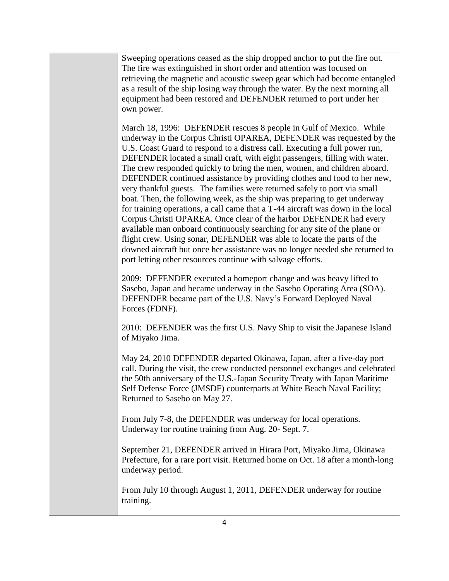Sweeping operations ceased as the ship dropped anchor to put the fire out. The fire was extinguished in short order and attention was focused on retrieving the magnetic and acoustic sweep gear which had become entangled as a result of the ship losing way through the water. By the next morning all equipment had been restored and DEFENDER returned to port under her own power.

March 18, 1996: DEFENDER rescues 8 people in Gulf of Mexico. While underway in the Corpus Christi OPAREA, DEFENDER was requested by the U.S. Coast Guard to respond to a distress call. Executing a full power run, DEFENDER located a small craft, with eight passengers, filling with water. The crew responded quickly to bring the men, women, and children aboard. DEFENDER continued assistance by providing clothes and food to her new, very thankful guests. The families were returned safely to port via small boat. Then, the following week, as the ship was preparing to get underway for training operations, a call came that a T-44 aircraft was down in the local Corpus Christi OPAREA. Once clear of the harbor DEFENDER had every available man onboard continuously searching for any site of the plane or flight crew. Using sonar, DEFENDER was able to locate the parts of the downed aircraft but once her assistance was no longer needed she returned to port letting other resources continue with salvage efforts.

2009: DEFENDER executed a homeport change and was heavy lifted to Sasebo, Japan and became underway in the Sasebo Operating Area (SOA). DEFENDER became part of the U.S. Navy's Forward Deployed Naval Forces (FDNF).

2010: DEFENDER was the first U.S. Navy Ship to visit the Japanese Island of Miyako Jima.

May 24, 2010 DEFENDER departed Okinawa, Japan, after a five-day port call. During the visit, the crew conducted personnel exchanges and celebrated the 50th anniversary of the U.S.-Japan Security Treaty with Japan Maritime Self Defense Force (JMSDF) counterparts at White Beach Naval Facility; Returned to Sasebo on May 27.

From July 7-8, the DEFENDER was underway for local operations. Underway for routine training from Aug. 20- Sept. 7.

September 21, DEFENDER arrived in Hirara Port, Miyako Jima, Okinawa Prefecture, for a rare port visit. Returned home on Oct. 18 after a month-long underway period.

From July 10 through August 1, 2011, DEFENDER underway for routine training.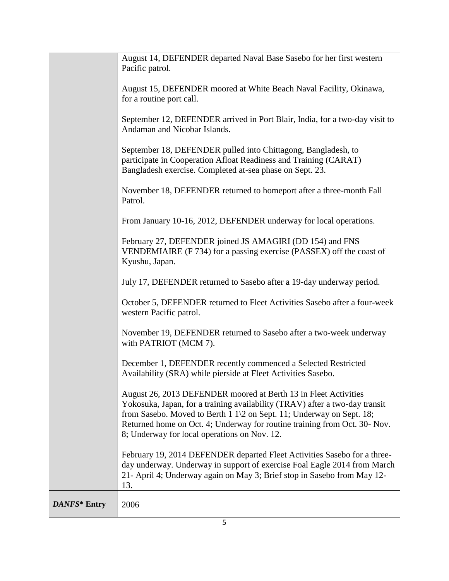|              | August 14, DEFENDER departed Naval Base Sasebo for her first western<br>Pacific patrol.                                                                                                                                                                                                                                                             |
|--------------|-----------------------------------------------------------------------------------------------------------------------------------------------------------------------------------------------------------------------------------------------------------------------------------------------------------------------------------------------------|
|              | August 15, DEFENDER moored at White Beach Naval Facility, Okinawa,<br>for a routine port call.                                                                                                                                                                                                                                                      |
|              | September 12, DEFENDER arrived in Port Blair, India, for a two-day visit to<br>Andaman and Nicobar Islands.                                                                                                                                                                                                                                         |
|              | September 18, DEFENDER pulled into Chittagong, Bangladesh, to<br>participate in Cooperation Afloat Readiness and Training (CARAT)<br>Bangladesh exercise. Completed at-sea phase on Sept. 23.                                                                                                                                                       |
|              | November 18, DEFENDER returned to homeport after a three-month Fall<br>Patrol.                                                                                                                                                                                                                                                                      |
|              | From January 10-16, 2012, DEFENDER underway for local operations.                                                                                                                                                                                                                                                                                   |
|              | February 27, DEFENDER joined JS AMAGIRI (DD 154) and FNS<br>VENDEMIAIRE (F 734) for a passing exercise (PASSEX) off the coast of<br>Kyushu, Japan.                                                                                                                                                                                                  |
|              | July 17, DEFENDER returned to Sasebo after a 19-day underway period.                                                                                                                                                                                                                                                                                |
|              | October 5, DEFENDER returned to Fleet Activities Sasebo after a four-week<br>western Pacific patrol.                                                                                                                                                                                                                                                |
|              | November 19, DEFENDER returned to Sasebo after a two-week underway<br>with PATRIOT (MCM 7).                                                                                                                                                                                                                                                         |
|              | December 1, DEFENDER recently commenced a Selected Restricted<br>Availability (SRA) while pierside at Fleet Activities Sasebo.                                                                                                                                                                                                                      |
|              | August 26, 2013 DEFENDER moored at Berth 13 in Fleet Activities<br>Yokosuka, Japan, for a training availability (TRAV) after a two-day transit<br>from Sasebo. Moved to Berth 1 1\2 on Sept. 11; Underway on Sept. 18;<br>Returned home on Oct. 4; Underway for routine training from Oct. 30- Nov.<br>8; Underway for local operations on Nov. 12. |
|              | February 19, 2014 DEFENDER departed Fleet Activities Sasebo for a three-<br>day underway. Underway in support of exercise Foal Eagle 2014 from March<br>21- April 4; Underway again on May 3; Brief stop in Sasebo from May 12-<br>13.                                                                                                              |
| DANFS* Entry | 2006                                                                                                                                                                                                                                                                                                                                                |